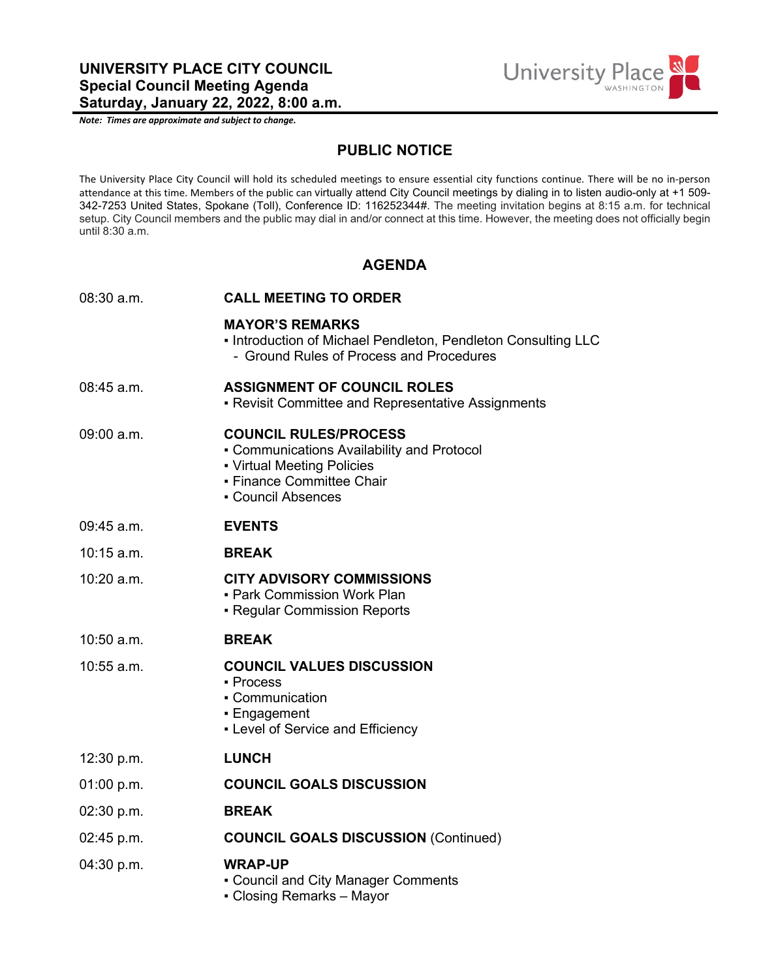*Note: Times are approximate and subject to change.*



## **PUBLIC NOTICE**

The University Place City Council will hold its scheduled meetings to ensure essential city functions continue. There will be no in-person attendance at this time. Members of the public can virtually attend City Council meetings by dialing in to listen audio-only at +1 509- 342-7253 United States, Spokane (Toll), Conference ID: 116252344#. The meeting invitation begins at 8:15 a.m. for technical setup. City Council members and the public may dial in and/or connect at this time. However, the meeting does not officially begin until 8:30 a.m.

## **AGENDA**

| $08:30$ a.m. | <b>CALL MEETING TO ORDER</b>                                                                                                                                |
|--------------|-------------------------------------------------------------------------------------------------------------------------------------------------------------|
|              | <b>MAYOR'S REMARKS</b><br>. Introduction of Michael Pendleton, Pendleton Consulting LLC<br>- Ground Rules of Process and Procedures                         |
| $08:45$ a.m. | <b>ASSIGNMENT OF COUNCIL ROLES</b><br>• Revisit Committee and Representative Assignments                                                                    |
| $09:00$ a.m. | <b>COUNCIL RULES/PROCESS</b><br>• Communications Availability and Protocol<br>• Virtual Meeting Policies<br>- Finance Committee Chair<br>• Council Absences |
| 09:45 a.m.   | <b>EVENTS</b>                                                                                                                                               |
| $10:15$ a.m. | <b>BREAK</b>                                                                                                                                                |
| 10:20 a.m.   | <b>CITY ADVISORY COMMISSIONS</b><br>- Park Commission Work Plan<br>• Regular Commission Reports                                                             |
| $10:50$ a.m. | <b>BREAK</b>                                                                                                                                                |
| 10:55 a.m.   | <b>COUNCIL VALUES DISCUSSION</b><br>- Process<br>• Communication<br>• Engagement<br>- Level of Service and Efficiency                                       |
| 12:30 p.m.   | <b>LUNCH</b>                                                                                                                                                |
| 01:00 p.m.   | <b>COUNCIL GOALS DISCUSSION</b>                                                                                                                             |
| 02:30 p.m.   | <b>BREAK</b>                                                                                                                                                |
| 02:45 p.m.   | <b>COUNCIL GOALS DISCUSSION (Continued)</b>                                                                                                                 |
| 04:30 p.m.   | <b>WRAP-UP</b><br>• Council and City Manager Comments<br>• Closing Remarks – Mayor                                                                          |